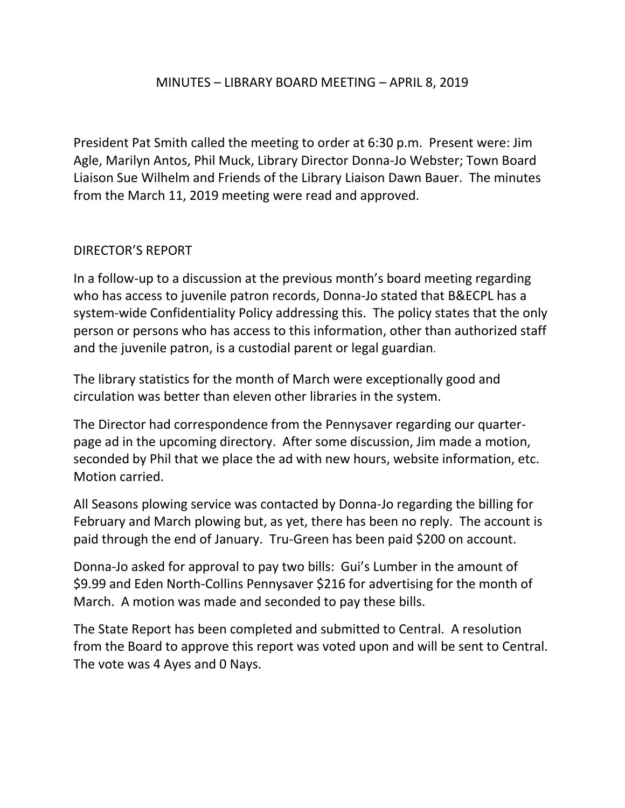### MINUTES – LIBRARY BOARD MEETING – APRIL 8, 2019

President Pat Smith called the meeting to order at 6:30 p.m. Present were: Jim Agle, Marilyn Antos, Phil Muck, Library Director Donna-Jo Webster; Town Board Liaison Sue Wilhelm and Friends of the Library Liaison Dawn Bauer. The minutes from the March 11, 2019 meeting were read and approved.

### DIRECTOR'S REPORT

In a follow-up to a discussion at the previous month's board meeting regarding who has access to juvenile patron records, Donna-Jo stated that B&ECPL has a system-wide Confidentiality Policy addressing this. The policy states that the only person or persons who has access to this information, other than authorized staff and the juvenile patron, is a custodial parent or legal guardian.

The library statistics for the month of March were exceptionally good and circulation was better than eleven other libraries in the system.

The Director had correspondence from the Pennysaver regarding our quarterpage ad in the upcoming directory. After some discussion, Jim made a motion, seconded by Phil that we place the ad with new hours, website information, etc. Motion carried.

All Seasons plowing service was contacted by Donna-Jo regarding the billing for February and March plowing but, as yet, there has been no reply. The account is paid through the end of January. Tru-Green has been paid \$200 on account.

Donna-Jo asked for approval to pay two bills: Gui's Lumber in the amount of \$9.99 and Eden North-Collins Pennysaver \$216 for advertising for the month of March. A motion was made and seconded to pay these bills.

The State Report has been completed and submitted to Central. A resolution from the Board to approve this report was voted upon and will be sent to Central. The vote was 4 Ayes and 0 Nays.